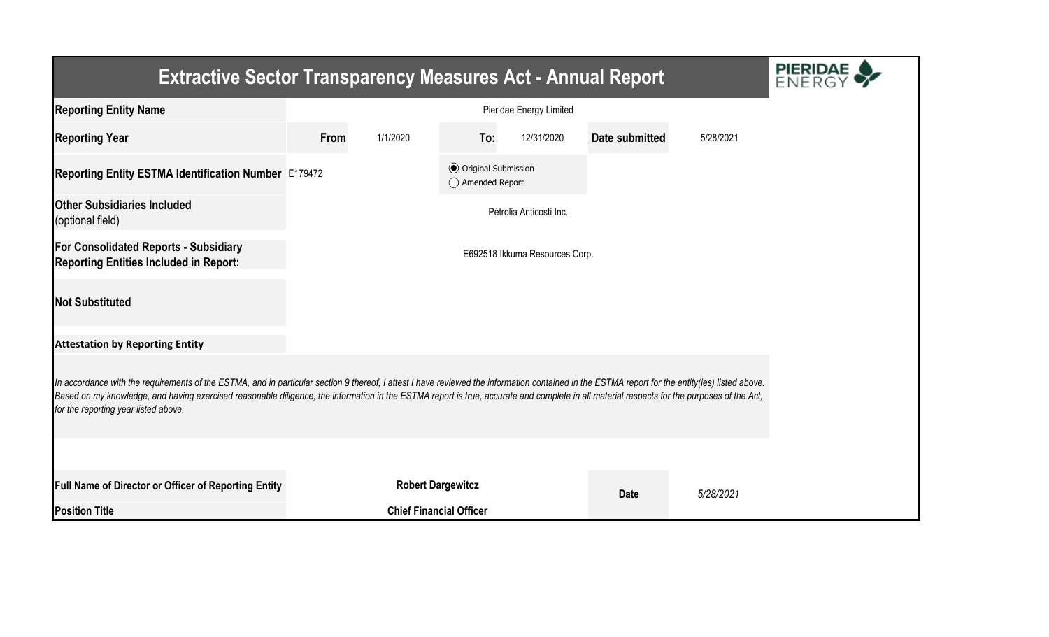| <b>Extractive Sector Transparency Measures Act - Annual Report</b>                                                                                                                                                                                                                                                                                                                                                                    |      |                                |                                                  |                         |                |           |  |  |  |  |
|---------------------------------------------------------------------------------------------------------------------------------------------------------------------------------------------------------------------------------------------------------------------------------------------------------------------------------------------------------------------------------------------------------------------------------------|------|--------------------------------|--------------------------------------------------|-------------------------|----------------|-----------|--|--|--|--|
| <b>Reporting Entity Name</b>                                                                                                                                                                                                                                                                                                                                                                                                          |      |                                |                                                  | Pieridae Energy Limited |                |           |  |  |  |  |
| <b>Reporting Year</b>                                                                                                                                                                                                                                                                                                                                                                                                                 | From | 1/1/2020                       | To:                                              | 12/31/2020              | Date submitted | 5/28/2021 |  |  |  |  |
| Reporting Entity ESTMA Identification Number E179472                                                                                                                                                                                                                                                                                                                                                                                  |      |                                | <b>◎</b> Original Submission<br>◯ Amended Report |                         |                |           |  |  |  |  |
| <b>Other Subsidiaries Included</b><br>(optional field)                                                                                                                                                                                                                                                                                                                                                                                |      |                                |                                                  | Pétrolia Anticosti Inc. |                |           |  |  |  |  |
| For Consolidated Reports - Subsidiary<br><b>Reporting Entities Included in Report:</b>                                                                                                                                                                                                                                                                                                                                                |      | E692518 Ikkuma Resources Corp. |                                                  |                         |                |           |  |  |  |  |
| <b>Not Substituted</b>                                                                                                                                                                                                                                                                                                                                                                                                                |      |                                |                                                  |                         |                |           |  |  |  |  |
| <b>Attestation by Reporting Entity</b>                                                                                                                                                                                                                                                                                                                                                                                                |      |                                |                                                  |                         |                |           |  |  |  |  |
| In accordance with the requirements of the ESTMA, and in particular section 9 thereof, I attest I have reviewed the information contained in the ESTMA report for the entity(ies) listed above.<br>Based on my knowledge, and having exercised reasonable diligence, the information in the ESTMA report is true, accurate and complete in all material respects for the purposes of the Act,<br>for the reporting year listed above. |      |                                |                                                  |                         |                |           |  |  |  |  |
|                                                                                                                                                                                                                                                                                                                                                                                                                                       |      |                                |                                                  |                         |                |           |  |  |  |  |
| Full Name of Director or Officer of Reporting Entity                                                                                                                                                                                                                                                                                                                                                                                  |      | <b>Robert Dargewitcz</b>       |                                                  |                         | <b>Date</b>    | 5/28/2021 |  |  |  |  |
| <b>Position Title</b>                                                                                                                                                                                                                                                                                                                                                                                                                 |      | <b>Chief Financial Officer</b> |                                                  |                         |                |           |  |  |  |  |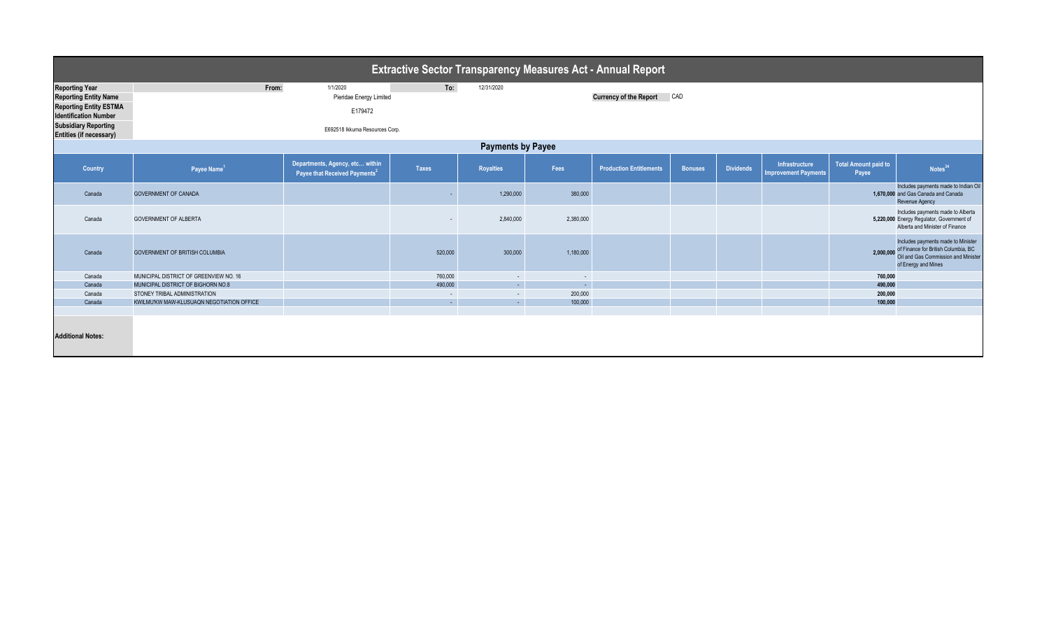| <b>Extractive Sector Transparency Measures Act - Annual Report</b> |                                                                    |                                                                              |                   |                  |                   |                                |                |                  |                                               |                                      |                                                                                                                                                   |  |
|--------------------------------------------------------------------|--------------------------------------------------------------------|------------------------------------------------------------------------------|-------------------|------------------|-------------------|--------------------------------|----------------|------------------|-----------------------------------------------|--------------------------------------|---------------------------------------------------------------------------------------------------------------------------------------------------|--|
| <b>Reporting Year</b><br><b>Reporting Entity Name</b>              | From:                                                              | 1/1/2020<br>Pieridae Energy Limited                                          | To:               | 12/31/2020       |                   | <b>Currency of the Report</b>  | CAD            |                  |                                               |                                      |                                                                                                                                                   |  |
| <b>Reporting Entity ESTMA</b><br><b>Identification Number</b>      |                                                                    | E179472                                                                      |                   |                  |                   |                                |                |                  |                                               |                                      |                                                                                                                                                   |  |
| <b>Subsidiary Reporting</b><br><b>Entities (if necessary)</b>      |                                                                    |                                                                              |                   |                  |                   |                                |                |                  |                                               |                                      |                                                                                                                                                   |  |
| <b>Payments by Payee</b>                                           |                                                                    |                                                                              |                   |                  |                   |                                |                |                  |                                               |                                      |                                                                                                                                                   |  |
| <b>Country</b>                                                     | Payee Name <sup>1</sup>                                            | Departments, Agency, etc within<br>Payee that Received Payments <sup>2</sup> | <b>Taxes</b>      | <b>Royalties</b> | Fees              | <b>Production Entitlements</b> | <b>Bonuses</b> | <b>Dividends</b> | Infrastructure<br><b>Improvement Payments</b> | <b>Total Amount paid to</b><br>Payee | Notes <sup>34</sup>                                                                                                                               |  |
| Canada                                                             | <b>GOVERNMENT OF CANADA</b>                                        |                                                                              |                   | 1,290,000        | 380,000           |                                |                |                  |                                               |                                      | Includes payments made to Indian Oil<br>1,670,000 and Gas Canada and Canada<br>Revenue Agency                                                     |  |
| Canada                                                             | <b>GOVERNMENT OF ALBERTA</b>                                       |                                                                              |                   | 2,840,000        | 2,380,000         |                                |                |                  |                                               |                                      | Includes payments made to Alberta<br>5,220,000 Energy Regulator, Government of<br>Alberta and Minister of Finance                                 |  |
| Canada                                                             | <b>GOVERNMENT OF BRITISH COLUMBIA</b>                              |                                                                              | 520,000           | 300,000          | 1,180,000         |                                |                |                  |                                               |                                      | Includes payments made to Minister<br>of Finance for British Columbia, BC<br>2,000,000 Oil and Gas Commission and Minister<br>of Energy and Mines |  |
| Canada                                                             | MUNICIPAL DISTRICT OF GREENVIEW NO. 16                             |                                                                              | 760,000           | $\sim$           | $\sim$            |                                |                |                  |                                               | 760,000                              |                                                                                                                                                   |  |
| Canada<br>Canada                                                   | MUNICIPAL DISTRICT OF BIGHORN NO.8<br>STONEY TRIBAL ADMINISTRATION |                                                                              | 490,000<br>$\sim$ | $\sim$<br>$\sim$ | $\sim$<br>200,000 |                                |                |                  |                                               | 490,000<br>200,000                   |                                                                                                                                                   |  |
| Canada                                                             | KWILMU'KW MAW-KLUSUAQN NEGOTIATION OFFICE                          |                                                                              | $\sim$            | $\sim$           | 100,000           |                                |                |                  |                                               | 100,000                              |                                                                                                                                                   |  |
|                                                                    |                                                                    |                                                                              |                   |                  |                   |                                |                |                  |                                               |                                      |                                                                                                                                                   |  |
| <b>Additional Notes:</b>                                           |                                                                    |                                                                              |                   |                  |                   |                                |                |                  |                                               |                                      |                                                                                                                                                   |  |